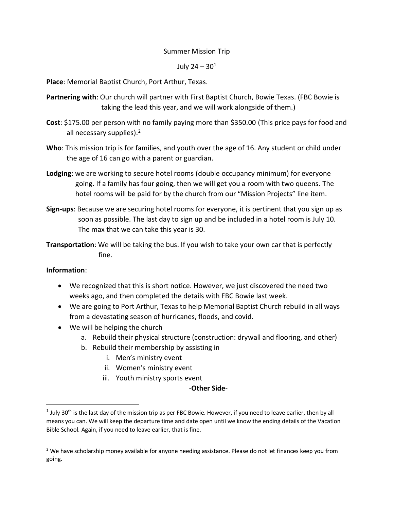## Summer Mission Trip

## July 24 –  $30^1$

**Place**: Memorial Baptist Church, Port Arthur, Texas.

- **Partnering with**: Our church will partner with First Baptist Church, Bowie Texas. (FBC Bowie is taking the lead this year, and we will work alongside of them.)
- **Cost**: \$175.00 per person with no family paying more than \$350.00 (This price pays for food and all necessary supplies).<sup>2</sup>
- **Who**: This mission trip is for families, and youth over the age of 16. Any student or child under the age of 16 can go with a parent or guardian.
- **Lodging**: we are working to secure hotel rooms (double occupancy minimum) for everyone going. If a family has four going, then we will get you a room with two queens. The hotel rooms will be paid for by the church from our "Mission Projects" line item.
- **Sign**-**ups**: Because we are securing hotel rooms for everyone, it is pertinent that you sign up as soon as possible. The last day to sign up and be included in a hotel room is July 10. The max that we can take this year is 30.
- **Transportation**: We will be taking the bus. If you wish to take your own car that is perfectly fine.

## **Information**:

 $\overline{\phantom{a}}$ 

- We recognized that this is short notice. However, we just discovered the need two weeks ago, and then completed the details with FBC Bowie last week.
- We are going to Port Arthur, Texas to help Memorial Baptist Church rebuild in all ways from a devastating season of hurricanes, floods, and covid.
- We will be helping the church
	- a. Rebuild their physical structure (construction: drywall and flooring, and other)
		- b. Rebuild their membership by assisting in
			- i. Men's ministry event
			- ii. Women's ministry event
			- iii. Youth ministry sports event

## -**Other Side**-

 $^1$  July 30<sup>th</sup> is the last day of the mission trip as per FBC Bowie. However, if you need to leave earlier, then by all means you can. We will keep the departure time and date open until we know the ending details of the Vacation Bible School. Again, if you need to leave earlier, that is fine.

<sup>&</sup>lt;sup>2</sup> We have scholarship money available for anyone needing assistance. Please do not let finances keep you from going.